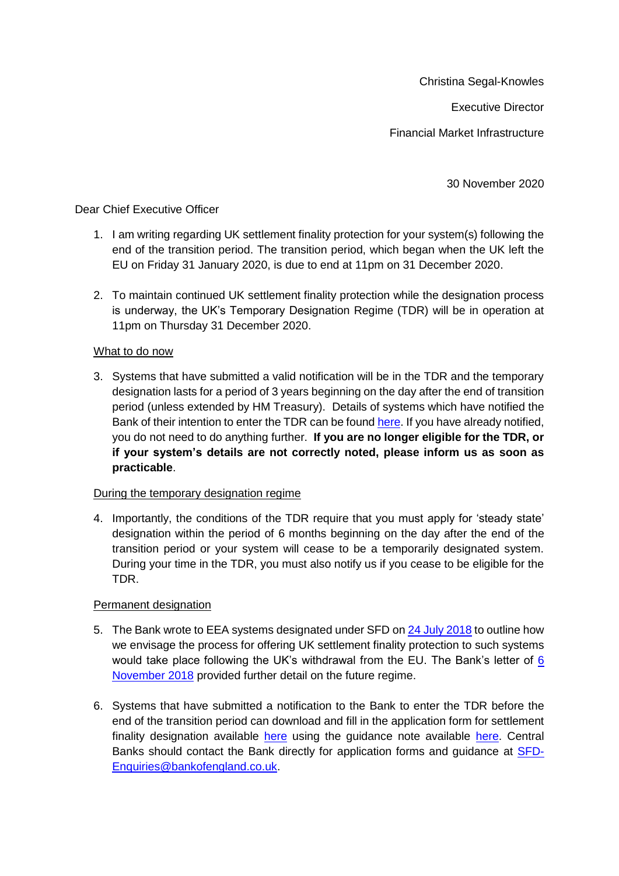Christina Segal-Knowles

Executive Director

Financial Market Infrastructure

30 November 2020

## Dear Chief Executive Officer

- 1. I am writing regarding UK settlement finality protection for your system(s) following the end of the transition period. The transition period, which began when the UK left the EU on Friday 31 January 2020, is due to end at 11pm on 31 December 2020.
- 2. To maintain continued UK settlement finality protection while the designation process is underway, the UK's Temporary Designation Regime (TDR) will be in operation at 11pm on Thursday 31 December 2020.

## What to do now

3. Systems that have submitted a valid notification will be in the TDR and the temporary designation lasts for a period of 3 years beginning on the day after the end of transition period (unless extended by HM Treasury). Details of systems which have notified the Bank of their intention to enter the TDR can be found [here.](https://www.bankofengland.co.uk/-/media/boe/files/financial-stability/financial-market-infrastructure-supervision/interim-list-of-eea-systems.pdf?la=en&hash=FE6435210318889854965FFD57C26F4A207E0F55) If you have already notified, you do not need to do anything further. **If you are no longer eligible for the TDR, or if your system's details are not correctly noted, please inform us as soon as practicable**.

## During the temporary designation regime

4. Importantly, the conditions of the TDR require that you must apply for 'steady state' designation within the period of 6 months beginning on the day after the end of the transition period or your system will cease to be a temporarily designated system. During your time in the TDR, you must also notify us if you cease to be eligible for the TDR.

## Permanent designation

- 5. The Bank wrote to EEA systems designated under SFD on [24 July 2018](https://www.bankofengland.co.uk/-/media/boe/files/letter/2018/letter-to-eu-systems-designated-under-the-settlement-finality-directive.pdf?la=en&hash=67C3509971A3381713439132785EA57AF9F0CA67) to outline how we envisage the process for offering UK settlement finality protection to such systems would take place following the UK's withdrawal from the EU. The Bank's letter of [6](https://www.bankofengland.co.uk/letter/2018/follow-up-letter-to-eu-systems-designed-under-the-settlement-finality-directive)  [November 2018](https://www.bankofengland.co.uk/letter/2018/follow-up-letter-to-eu-systems-designed-under-the-settlement-finality-directive) provided further detail on the future regime.
- 6. Systems that have submitted a notification to the Bank to enter the TDR before the end of the transition period can download and fill in the application form for settlement finality designation available [here](https://www.bankofengland.co.uk/-/media/boe/files/financial-stability/financial-market-infrastructure-supervision/application-form-sfd-private-systems) using the guidance note available [here.](https://www.bankofengland.co.uk/-/media/boe/files/financial-stability/financial-market-infrastructure-supervision/application-guidance-sfd-private-systems) Central Banks should contact the Bank directly for application forms and guidance at [SFD-](mailto:SFD-Enquiries@bankofengland.co.uk)[Enquiries@bankofengland.co.uk.](mailto:SFD-Enquiries@bankofengland.co.uk)